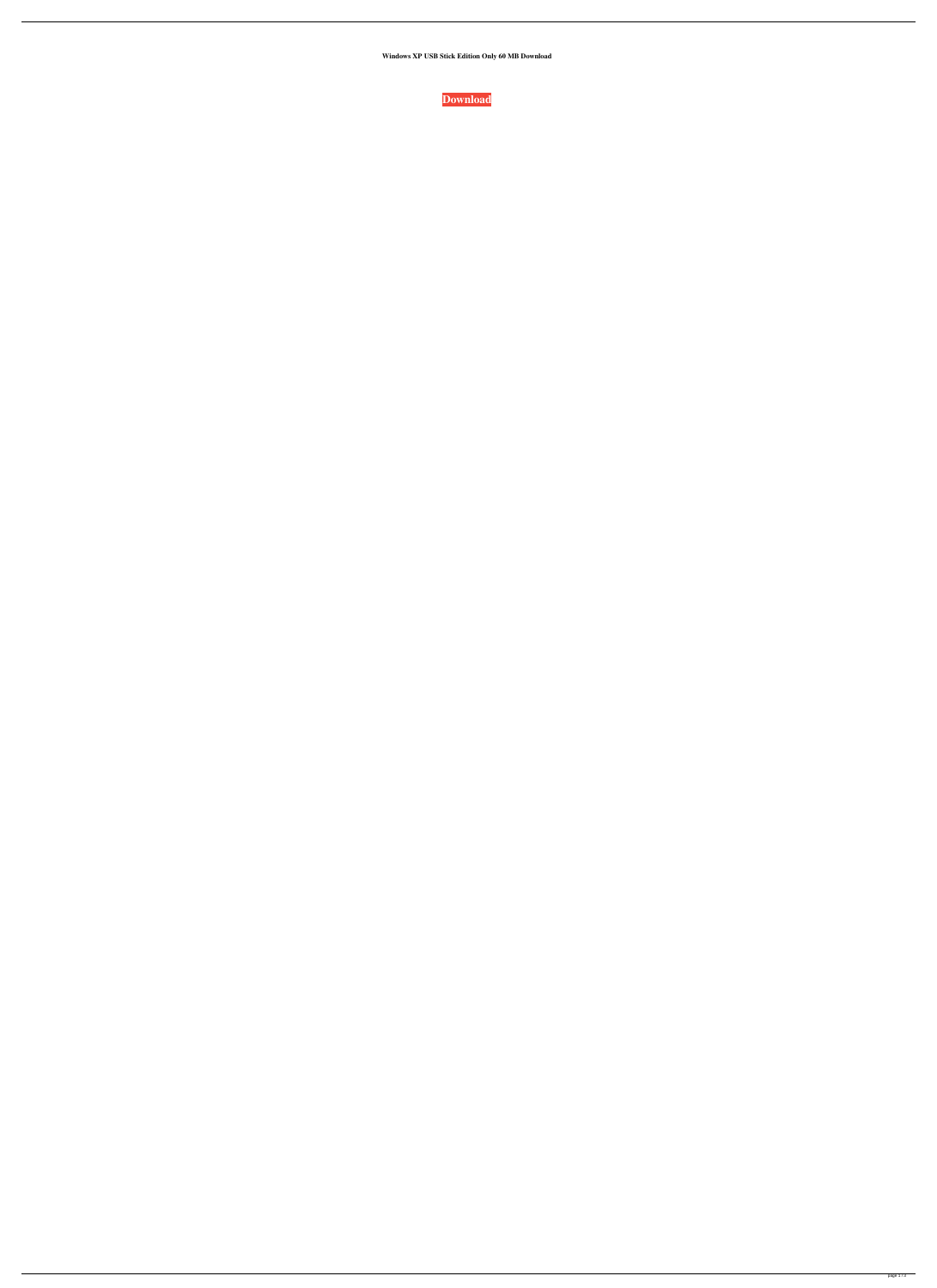**Windows XP USB Stick Edition Only 60 MB Download**

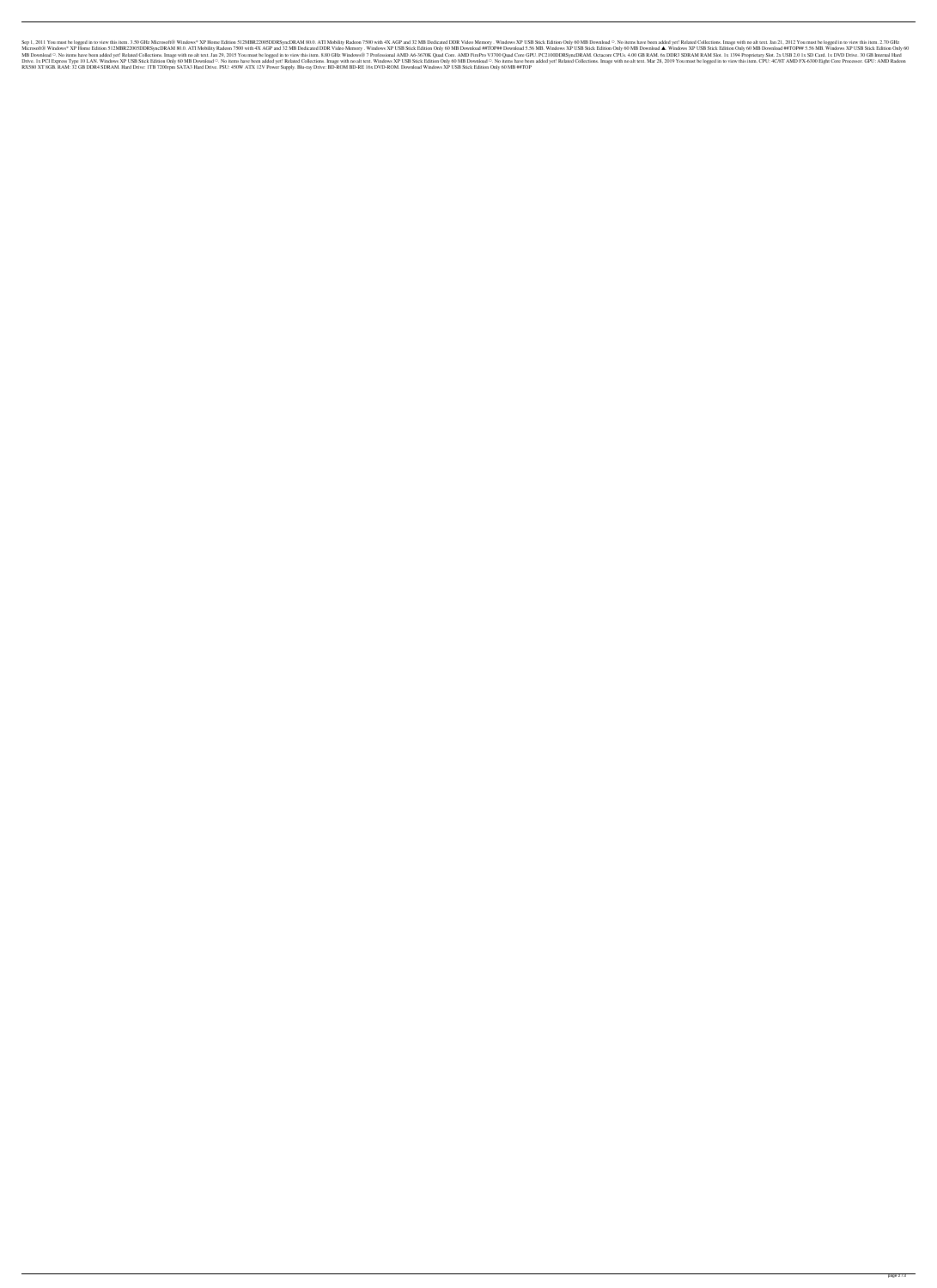Sep 1, 2011 You must be logged in to view this item. 3.50 GHz Microsoft® Windows\* XP Home Edition 512MBR22005DDRSyncDRAM 80.0. ATI Mobility Radeon 7500 with 4X AGP and 32 MB Dedicated DDR Video Memory. Windows XP USB Stick Microsoft® Windows\* XP Home Edition 512MBR22005DDRSyncDRAM 80.0. ATI Mobility Radeon 7500 with 4X AGP and 32 MB Dedicated DDR Video Memory . Windows XP USB Stick Edition Only 60 MB Download 4#TOP## Download 4. Windows XP U 0. No items have been added yet! Related Collections. Image with no alt text. Jan 29, 2015 You must be logged in to view this item. 8.80 GHz Windows® 7 Professional AMD A6-3670K Quad Core GPUs. 4.00 GB RAM. 6x DDR3 SDRAM Only 60 MB Download ○. No items have been added yet! Related Collections. Image with no alt text. Windows XP USB Stick Edition Only 60 MB Download ○. No items have been added yet! Related Collections. Image with no alt te RX580 XT 8GB. RAM: 32 GB DDR4 SDRAM. Hard Drive: 1TB 7200rpm SATA3 Hard Drive. PSU: 450W ATX 12V Power Supply. Blu-ray Drive: BD-ROM BD-RE 16x DVD-ROM. Download Windows XP USB Stick Edition Only 60 MB ##TOP